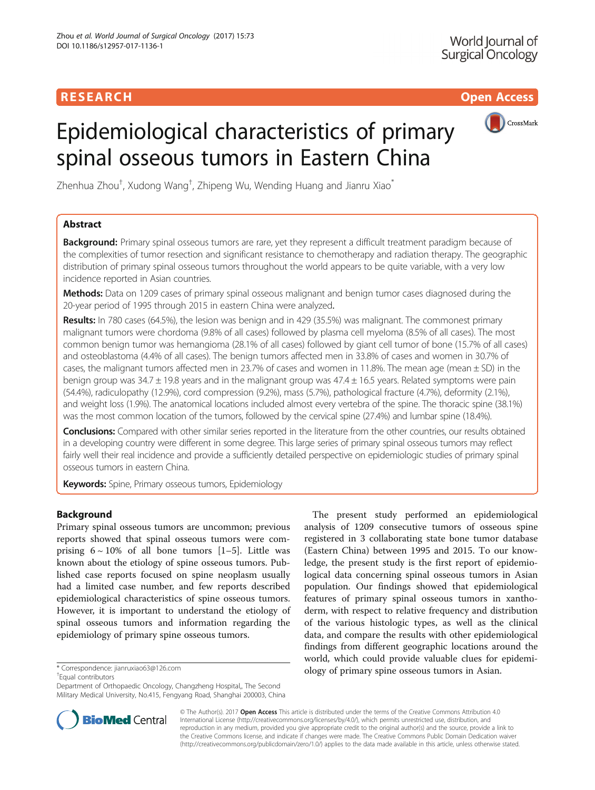# RESEARCH **RESEARCH CHOOSE ACCESS**



# Epidemiological characteristics of primary spinal osseous tumors in Eastern China

Zhenhua Zhou $^\dagger$ , Xudong Wang $^\dagger$ , Zhipeng Wu, Wending Huang and Jianru Xiao $\check{\phantom{\phi}}$ 

# Abstract

**Background:** Primary spinal osseous tumors are rare, yet they represent a difficult treatment paradigm because of the complexities of tumor resection and significant resistance to chemotherapy and radiation therapy. The geographic distribution of primary spinal osseous tumors throughout the world appears to be quite variable, with a very low incidence reported in Asian countries.

Methods: Data on 1209 cases of primary spinal osseous malignant and benign tumor cases diagnosed during the 20-year period of 1995 through 2015 in eastern China were analyzed.

Results: In 780 cases (64.5%), the lesion was benign and in 429 (35.5%) was malignant. The commonest primary malignant tumors were chordoma (9.8% of all cases) followed by plasma cell myeloma (8.5% of all cases). The most common benign tumor was hemangioma (28.1% of all cases) followed by giant cell tumor of bone (15.7% of all cases) and osteoblastoma (4.4% of all cases). The benign tumors affected men in 33.8% of cases and women in 30.7% of cases, the malignant tumors affected men in 23.7% of cases and women in 11.8%. The mean age (mean  $\pm$  SD) in the benign group was 34.7 ± 19.8 years and in the malignant group was 47.4 ± 16.5 years. Related symptoms were pain (54.4%), radiculopathy (12.9%), cord compression (9.2%), mass (5.7%), pathological fracture (4.7%), deformity (2.1%), and weight loss (1.9%). The anatomical locations included almost every vertebra of the spine. The thoracic spine (38.1%) was the most common location of the tumors, followed by the cervical spine (27.4%) and lumbar spine (18.4%).

Conclusions: Compared with other similar series reported in the literature from the other countries, our results obtained in a developing country were different in some degree. This large series of primary spinal osseous tumors may reflect fairly well their real incidence and provide a sufficiently detailed perspective on epidemiologic studies of primary spinal osseous tumors in eastern China.

Keywords: Spine, Primary osseous tumors, Epidemiology

# Background

Primary spinal osseous tumors are uncommon; previous reports showed that spinal osseous tumors were comprising  $6 \sim 10\%$  of all bone tumors [\[1](#page-7-0)–[5\]](#page-7-0). Little was known about the etiology of spine osseous tumors. Published case reports focused on spine neoplasm usually had a limited case number, and few reports described epidemiological characteristics of spine osseous tumors. However, it is important to understand the etiology of spinal osseous tumors and information regarding the epidemiology of primary spine osseous tumors.

Equal contributors

The present study performed an epidemiological analysis of 1209 consecutive tumors of osseous spine registered in 3 collaborating state bone tumor database (Eastern China) between 1995 and 2015. To our knowledge, the present study is the first report of epidemiological data concerning spinal osseous tumors in Asian population. Our findings showed that epidemiological features of primary spinal osseous tumors in xanthoderm, with respect to relative frequency and distribution of the various histologic types, as well as the clinical data, and compare the results with other epidemiological findings from different geographic locations around the world, which could provide valuable clues for epidemi\* Correspondence: [jianruxiao63@126.com](mailto:jianruxiao63@126.com) **blogy of primary spine osseous tumors in Asian.** 



© The Author(s). 2017 Open Access This article is distributed under the terms of the Creative Commons Attribution 4.0 International License [\(http://creativecommons.org/licenses/by/4.0/](http://creativecommons.org/licenses/by/4.0/)), which permits unrestricted use, distribution, and reproduction in any medium, provided you give appropriate credit to the original author(s) and the source, provide a link to the Creative Commons license, and indicate if changes were made. The Creative Commons Public Domain Dedication waiver [\(http://creativecommons.org/publicdomain/zero/1.0/](http://creativecommons.org/publicdomain/zero/1.0/)) applies to the data made available in this article, unless otherwise stated.

Department of Orthopaedic Oncology, Changzheng Hospital,, The Second Military Medical University, No.415, Fengyang Road, Shanghai 200003, China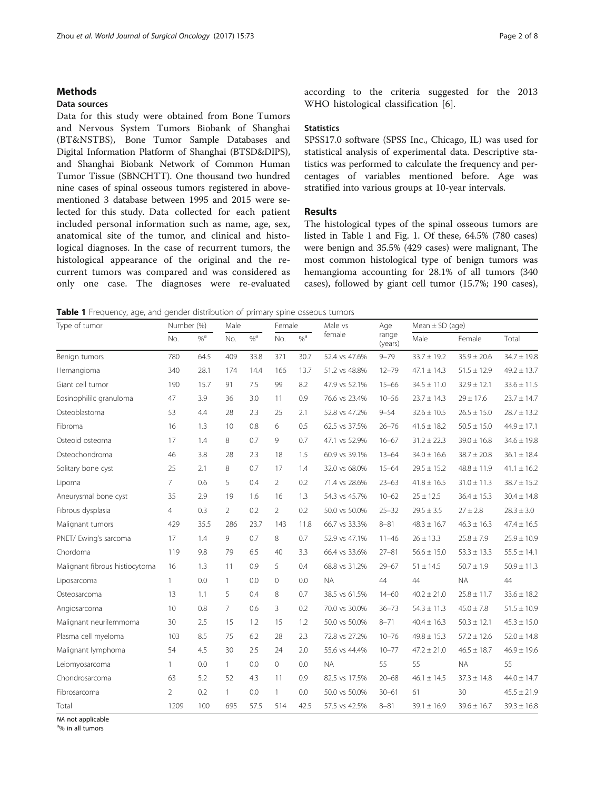## Methods

# Data sources

Data for this study were obtained from Bone Tumors and Nervous System Tumors Biobank of Shanghai (BT&NSTBS), Bone Tumor Sample Databases and Digital Information Platform of Shanghai (BTSD&DIPS), and Shanghai Biobank Network of Common Human Tumor Tissue (SBNCHTT). One thousand two hundred nine cases of spinal osseous tumors registered in abovementioned 3 database between 1995 and 2015 were selected for this study. Data collected for each patient included personal information such as name, age, sex, anatomical site of the tumor, and clinical and histological diagnoses. In the case of recurrent tumors, the histological appearance of the original and the recurrent tumors was compared and was considered as only one case. The diagnoses were re-evaluated according to the criteria suggested for the 2013 WHO histological classification [[6\]](#page-7-0).

### **Statistics**

SPSS17.0 software (SPSS Inc., Chicago, IL) was used for statistical analysis of experimental data. Descriptive statistics was performed to calculate the frequency and percentages of variables mentioned before. Age was stratified into various groups at 10-year intervals.

# Results

The histological types of the spinal osseous tumors are listed in Table 1 and Fig. [1](#page-2-0). Of these, 64.5% (780 cases) were benign and 35.5% (429 cases) were malignant, The most common histological type of benign tumors was hemangioma accounting for 28.1% of all tumors (340 cases), followed by giant cell tumor (15.7%; 190 cases),

Table 1 Frequency, age, and gender distribution of primary spine osseous tumors

| Type of tumor                  | Number (%)      |                  | Male           |                  | Female         |                   | Male vs                    | Age       | Mean $\pm$ SD (age) |                 |                 |
|--------------------------------|-----------------|------------------|----------------|------------------|----------------|-------------------|----------------------------|-----------|---------------------|-----------------|-----------------|
|                                | No.             | $%$ <sup>a</sup> | No.            | $%$ <sup>a</sup> | No.            | $\%$ <sup>a</sup> | female<br>range<br>(years) | Male      | Female              | Total           |                 |
| Benign tumors                  | 780             | 64.5             | 409            | 33.8             | 371            | 30.7              | 52.4 vs 47.6%              | $9 - 79$  | $33.7 \pm 19.2$     | $35.9 \pm 20.6$ | $34.7 \pm 19.8$ |
| Hemangioma                     | 340             | 28.1             | 174            | 14.4             | 166            | 13.7              | 51.2 vs 48.8%              | $12 - 79$ | $47.1 \pm 14.3$     | $51.5 \pm 12.9$ | $49.2 \pm 13.7$ |
| Giant cell tumor               | 190             | 15.7             | 91             | 7.5              | 99             | 8.2               | 47.9 vs 52.1%              | $15 - 66$ | $34.5 \pm 11.0$     | $32.9 \pm 12.1$ | $33.6 \pm 11.5$ |
| Eosinophililc granuloma        | 47              | 3.9              | 36             | 3.0              | 11             | 0.9               | 76.6 vs 23.4%              | $10 - 56$ | $23.7 \pm 14.3$     | $29 \pm 17.6$   | $23.7 \pm 14.7$ |
| Osteoblastoma                  | 53              | 4.4              | 28             | 2.3              | 25             | 2.1               | 52.8 vs 47.2%              | $9 - 54$  | $32.6 \pm 10.5$     | $26.5 \pm 15.0$ | $28.7 \pm 13.2$ |
| Fibroma                        | 16              | 1.3              | 10             | 0.8              | 6              | 0.5               | 62.5 vs 37.5%              | $26 - 76$ | $41.6 \pm 18.2$     | $50.5 \pm 15.0$ | $44.9 \pm 17.1$ |
| Osteoid osteoma                | 17              | 1.4              | 8              | 0.7              | 9              | 0.7               | 47.1 vs 52.9%              | $16 - 67$ | $31.2 \pm 22.3$     | $39.0 \pm 16.8$ | $34.6 \pm 19.8$ |
| Osteochondroma                 | 46              | 3.8              | 28             | 2.3              | 18             | 1.5               | 60.9 vs 39.1%              | $13 - 64$ | $34.0 \pm 16.6$     | $38.7 \pm 20.8$ | $36.1 \pm 18.4$ |
| Solitary bone cyst             | 25              | 2.1              | 8              | 0.7              | 17             | 1.4               | 32.0 vs 68.0%              | $15 - 64$ | $29.5 \pm 15.2$     | $48.8 \pm 11.9$ | $41.1 \pm 16.2$ |
| Lipoma                         | $7\overline{ }$ | 0.6              | 5              | 0.4              | $\overline{2}$ | 0.2               | 71.4 vs 28.6%              | $23 - 63$ | $41.8 \pm 16.5$     | $31.0 \pm 11.3$ | $38.7 \pm 15.2$ |
| Aneurysmal bone cyst           | 35              | 2.9              | 19             | 1.6              | 16             | 1.3               | 54.3 vs 45.7%              | $10 - 62$ | $25 \pm 12.5$       | $36.4 \pm 15.3$ | $30.4 \pm 14.8$ |
| Fibrous dysplasia              | $\overline{4}$  | 0.3              | $\overline{2}$ | 0.2              | $\overline{2}$ | 0.2               | 50.0 vs 50.0%              | $25 - 32$ | $29.5 \pm 3.5$      | $27 \pm 2.8$    | $28.3 \pm 3.0$  |
| Malignant tumors               | 429             | 35.5             | 286            | 23.7             | 143            | 11.8              | 66.7 vs 33.3%              | $8 - 81$  | $48.3 \pm 16.7$     | $46.3 \pm 16.3$ | $47.4 \pm 16.5$ |
| PNET/ Ewing's sarcoma          | 17              | 1.4              | 9              | 0.7              | 8              | 0.7               | 52.9 vs 47.1%              | $11 - 46$ | $26 \pm 13.3$       | $25.8 \pm 7.9$  | $25.9 \pm 10.9$ |
| Chordoma                       | 119             | 9.8              | 79             | 6.5              | 40             | 3.3               | 66.4 vs 33.6%              | $27 - 81$ | $56.6 \pm 15.0$     | $53.3 \pm 13.3$ | $55.5 \pm 14.1$ |
| Malignant fibrous histiocytoma | 16              | 1.3              | 11             | 0.9              | 5              | 0.4               | 68.8 vs 31.2%              | $29 - 67$ | $51\pm14.5$         | $50.7 \pm 1.9$  | $50.9 \pm 11.3$ |
| Liposarcoma                    | $\mathbf{1}$    | 0.0              | $\mathbf{1}$   | 0.0              | $\circ$        | 0.0               | <b>NA</b>                  | 44        | 44                  | <b>NA</b>       | 44              |
| Osteosarcoma                   | 13              | 1.1              | 5              | 0.4              | 8              | 0.7               | 38.5 vs 61.5%              | $14 - 60$ | $40.2 \pm 21.0$     | $25.8 \pm 11.7$ | $33.6 \pm 18.2$ |
| Angiosarcoma                   | 10              | 0.8              | 7              | 0.6              | $\overline{3}$ | 0.2               | 70.0 vs 30.0%              | $36 - 73$ | $54.3 \pm 11.3$     | $45.0 \pm 7.8$  | $51.5 \pm 10.9$ |
| Malignant neurilemmoma         | 30              | 2.5              | 15             | 1.2              | 15             | 1.2               | 50.0 vs 50.0%              | $8 - 71$  | $40.4 \pm 16.3$     | $50.3 \pm 12.1$ | $45.3 \pm 15.0$ |
| Plasma cell myeloma            | 103             | 8.5              | 75             | 6.2              | 28             | 2.3               | 72.8 vs 27.2%              | $10 - 76$ | $49.8 \pm 15.3$     | $57.2 \pm 12.6$ | $52.0 \pm 14.8$ |
| Malignant lymphoma             | 54              | 4.5              | 30             | 2.5              | 24             | 2.0               | 55.6 vs 44.4%              | $10 - 77$ | $47.2 \pm 21.0$     | $46.5 \pm 18.7$ | $46.9 \pm 19.6$ |
| Leiomyosarcoma                 | $\mathbf{1}$    | 0.0              | $\mathbf{1}$   | 0.0              | $\circ$        | 0.0               | <b>NA</b>                  | 55        | 55                  | <b>NA</b>       | 55              |
| Chondrosarcoma                 | 63              | 5.2              | 52             | 4.3              | 11             | 0.9               | 82.5 vs 17.5%              | $20 - 68$ | $46.1 \pm 14.5$     | $37.3 \pm 14.8$ | $44.0 \pm 14.7$ |
| Fibrosarcoma                   | $\overline{2}$  | 0.2              | $\mathbf{1}$   | 0.0              | $\mathbf{1}$   | 0.0               | 50.0 vs 50.0%              | $30 - 61$ | 61                  | 30              | $45.5 \pm 21.9$ |
| Total                          | 1209            | 100              | 695            | 57.5             | 514            | 42.5              | 57.5 vs 42.5%              | $8 - 81$  | $39.1 \pm 16.9$     | $39.6 \pm 16.7$ | $39.3 \pm 16.8$ |

NA not applicable

<sup>a</sup>% in all tumors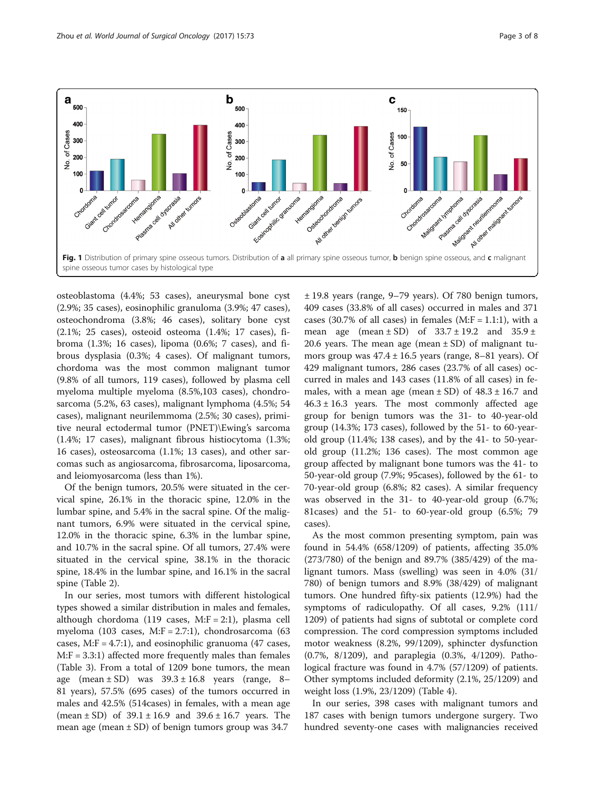<span id="page-2-0"></span>

osteoblastoma (4.4%; 53 cases), aneurysmal bone cyst (2.9%; 35 cases), eosinophilic granuloma (3.9%; 47 cases), osteochondroma (3.8%; 46 cases), solitary bone cyst (2.1%; 25 cases), osteoid osteoma (1.4%; 17 cases), fibroma (1.3%; 16 cases), lipoma (0.6%; 7 cases), and fibrous dysplasia (0.3%; 4 cases). Of malignant tumors, chordoma was the most common malignant tumor (9.8% of all tumors, 119 cases), followed by plasma cell myeloma multiple myeloma (8.5%,103 cases), chondrosarcoma (5.2%, 63 cases), malignant lymphoma (4.5%; 54 cases), malignant neurilemmoma (2.5%; 30 cases), primitive neural ectodermal tumor (PNET)\Ewing's sarcoma (1.4%; 17 cases), malignant fibrous histiocytoma (1.3%; 16 cases), osteosarcoma (1.1%; 13 cases), and other sarcomas such as angiosarcoma, fibrosarcoma, liposarcoma, and leiomyosarcoma (less than 1%).

Of the benign tumors, 20.5% were situated in the cervical spine, 26.1% in the thoracic spine, 12.0% in the lumbar spine, and 5.4% in the sacral spine. Of the malignant tumors, 6.9% were situated in the cervical spine, 12.0% in the thoracic spine, 6.3% in the lumbar spine, and 10.7% in the sacral spine. Of all tumors, 27.4% were situated in the cervical spine, 38.1% in the thoracic spine, 18.4% in the lumbar spine, and 16.1% in the sacral spine (Table [2](#page-3-0)).

In our series, most tumors with different histological types showed a similar distribution in males and females, although chordoma (119 cases, M:F = 2:1), plasma cell myeloma (103 cases, M:F = 2.7:1), chondrosarcoma (63 cases,  $M: F = 4.7:1$ ), and eosinophilic granuoma (47 cases,  $M: F = 3.3:1$ ) affected more frequently males than females (Table [3\)](#page-4-0). From a total of 1209 bone tumors, the mean age (mean  $\pm$  SD) was  $39.3 \pm 16.8$  years (range, 8– 81 years), 57.5% (695 cases) of the tumors occurred in males and 42.5% (514cases) in females, with a mean age (mean  $\pm$  SD) of 39.1  $\pm$  16.9 and 39.6  $\pm$  16.7 years. The mean age (mean  $\pm$  SD) of benign tumors group was 34.7

± 19.8 years (range, 9–79 years). Of 780 benign tumors, 409 cases (33.8% of all cases) occurred in males and 371 cases (30.7% of all cases) in females ( $M: F = 1.1:1$ ), with a mean age (mean  $\pm$  SD) of 33.7  $\pm$  19.2 and 35.9  $\pm$ 20.6 years. The mean age (mean  $\pm$  SD) of malignant tumors group was  $47.4 \pm 16.5$  years (range, 8–81 years). Of 429 malignant tumors, 286 cases (23.7% of all cases) occurred in males and 143 cases (11.8% of all cases) in females, with a mean age (mean  $\pm$  SD) of  $48.3 \pm 16.7$  and  $46.3 \pm 16.3$  years. The most commonly affected age group for benign tumors was the 31- to 40-year-old group (14.3%; 173 cases), followed by the 51- to 60-yearold group (11.4%; 138 cases), and by the 41- to 50-yearold group (11.2%; 136 cases). The most common age group affected by malignant bone tumors was the 41- to 50-year-old group (7.9%; 95cases), followed by the 61- to 70-year-old group (6.8%; 82 cases). A similar frequency was observed in the 31- to 40-year-old group (6.7%; 81cases) and the 51- to 60-year-old group (6.5%; 79 cases).

As the most common presenting symptom, pain was found in 54.4% (658/1209) of patients, affecting 35.0% (273/780) of the benign and 89.7% (385/429) of the malignant tumors. Mass (swelling) was seen in 4.0% (31/ 780) of benign tumors and 8.9% (38/429) of malignant tumors. One hundred fifty-six patients (12.9%) had the symptoms of radiculopathy. Of all cases, 9.2% (111/ 1209) of patients had signs of subtotal or complete cord compression. The cord compression symptoms included motor weakness (8.2%, 99/1209), sphincter dysfunction (0.7%, 8/1209), and paraplegia (0.3%, 4/1209). Pathological fracture was found in 4.7% (57/1209) of patients. Other symptoms included deformity (2.1%, 25/1209) and weight loss (1.9%, 23/1209) (Table [4](#page-5-0)).

In our series, 398 cases with malignant tumors and 187 cases with benign tumors undergone surgery. Two hundred seventy-one cases with malignancies received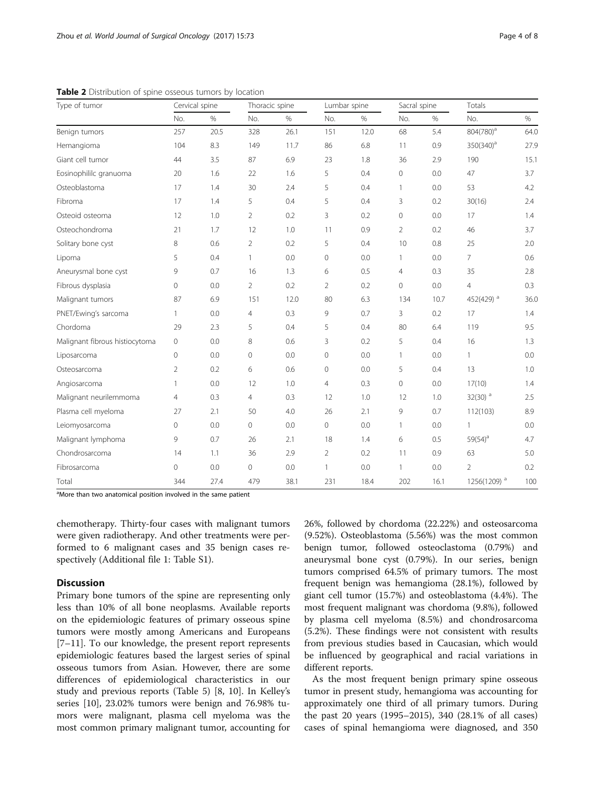| Type of tumor                  | Cervical spine |      | Thoracic spine |      |                | Lumbar spine |                | Sacral spine | Totals                  |      |
|--------------------------------|----------------|------|----------------|------|----------------|--------------|----------------|--------------|-------------------------|------|
|                                | No.            | $\%$ | No.            | $\%$ | No.            | $\%$         | No.            | $\%$         | No.                     | $\%$ |
| Benign tumors                  | 257            | 20.5 | 328            | 26.1 | 151            | 12.0         | 68             | 5.4          | 804(780) <sup>a</sup>   | 64.0 |
| Hemangioma                     | 104            | 8.3  | 149            | 11.7 | 86             | 6.8          | 11             | 0.9          | $350(340)^a$            | 27.9 |
| Giant cell tumor               | 44             | 3.5  | 87             | 6.9  | 23             | 1.8          | 36             | 2.9          | 190                     | 15.1 |
| Eosinophililc granuoma         | 20             | 1.6  | 22             | 1.6  | 5              | 0.4          | $\mathbf 0$    | 0.0          | 47                      | 3.7  |
| Osteoblastoma                  | 17             | 1.4  | 30             | 2.4  | 5              | 0.4          | $\mathbf{1}$   | 0.0          | 53                      | 4.2  |
| Fibroma                        | 17             | 1.4  | 5              | 0.4  | 5              | 0.4          | 3              | 0.2          | 30(16)                  | 2.4  |
| Osteoid osteoma                | 12             | 1.0  | $\overline{2}$ | 0.2  | 3              | 0.2          | $\mathbf 0$    | 0.0          | 17                      | 1.4  |
| Osteochondroma                 | 21             | 1.7  | 12             | 1.0  | 11             | 0.9          | $\overline{2}$ | 0.2          | 46                      | 3.7  |
| Solitary bone cyst             | 8              | 0.6  | $\overline{2}$ | 0.2  | 5              | 0.4          | 10             | 0.8          | 25                      | 2.0  |
| Lipoma                         | 5              | 0.4  | $\mathbf{1}$   | 0.0  | 0              | 0.0          | $\mathbf{1}$   | 0.0          | $\overline{7}$          | 0.6  |
| Aneurysmal bone cyst           | 9              | 0.7  | 16             | 1.3  | 6              | 0.5          | $\overline{4}$ | 0.3          | 35                      | 2.8  |
| Fibrous dysplasia              | $\mathbf{0}$   | 0.0  | $\overline{2}$ | 0.2  | $\overline{2}$ | 0.2          | $\mathbf 0$    | 0.0          | $\overline{4}$          | 0.3  |
| Malignant tumors               | 87             | 6.9  | 151            | 12.0 | 80             | 6.3          | 134            | 10.7         | 452(429) <sup>a</sup>   | 36.C |
| PNET/Ewing's sarcoma           | 1              | 0.0  | 4              | 0.3  | 9              | 0.7          | 3              | 0.2          | 17                      | 1.4  |
| Chordoma                       | 29             | 2.3  | 5              | 0.4  | 5              | 0.4          | 80             | 6.4          | 119                     | 9.5  |
| Malignant fibrous histiocytoma | $\mathbf 0$    | 0.0  | 8              | 0.6  | 3              | 0.2          | 5              | 0.4          | 16                      | 1.3  |
| Liposarcoma                    | $\mathbf 0$    | 0.0  | $\mathbf 0$    | 0.0  | 0              | 0.0          | $\mathbf{1}$   | 0.0          | $\mathbf{1}$            | 0.0  |
| Osteosarcoma                   | $\overline{2}$ | 0.2  | 6              | 0.6  | 0              | 0.0          | 5              | 0.4          | 13                      | 1.0  |
| Angiosarcoma                   | 1              | 0.0  | 12             | 1.0  | $\overline{4}$ | 0.3          | 0              | 0.0          | 17(10)                  | 1.4  |
| Malignant neurilemmoma         | 4              | 0.3  | $\overline{4}$ | 0.3  | 12             | 1.0          | 12             | 1.0          | $32(30)$ <sup>a</sup>   | 2.5  |
| Plasma cell myeloma            | 27             | 2.1  | 50             | 4.0  | 26             | 2.1          | 9              | 0.7          | 112(103)                | 8.9  |
| Leiomyosarcoma                 | 0              | 0.0  | 0              | 0.0  | 0              | 0.0          | $\mathbf{1}$   | 0.0          | $\mathbf{1}$            | 0.0  |
| Malignant lymphoma             | 9              | 0.7  | 26             | 2.1  | 18             | 1.4          | 6              | 0.5          | $59(54)^a$              | 4.7  |
| Chondrosarcoma                 | 14             | 1.1  | 36             | 2.9  | $\overline{2}$ | 0.2          | 11             | 0.9          | 63                      | 5.0  |
| Fibrosarcoma                   | $\Omega$       | 0.0  | $\mathbf 0$    | 0.0  | $\mathbf{1}$   | 0.0          | 1              | 0.0          | $\overline{2}$          | 0.2  |
| Total                          | 344            | 27.4 | 479            | 38.1 | 231            | 18.4         | 202            | 16.1         | 1256(1209) <sup>a</sup> | 100  |

<span id="page-3-0"></span>Table 2 Distribution of spine osseous tumors by location

<sup>a</sup>More than two anatomical position involved in the same patient

chemotherapy. Thirty-four cases with malignant tumors were given radiotherapy. And other treatments were performed to 6 malignant cases and 35 benign cases respectively (Additional file [1:](#page-6-0) Table S1).

# **Discussion**

Primary bone tumors of the spine are representing only less than 10% of all bone neoplasms. Available reports on the epidemiologic features of primary osseous spine tumors were mostly among Americans and Europeans [[7](#page-7-0)–[11\]](#page-7-0). To our knowledge, the present report represents epidemiologic features based the largest series of spinal osseous tumors from Asian. However, there are some differences of epidemiological characteristics in our study and previous reports (Table [5](#page-6-0)) [[8, 10\]](#page-7-0). In Kelley's series [[10](#page-7-0)], 23.02% tumors were benign and 76.98% tumors were malignant, plasma cell myeloma was the most common primary malignant tumor, accounting for 26%, followed by chordoma (22.22%) and osteosarcoma (9.52%). Osteoblastoma (5.56%) was the most common benign tumor, followed osteoclastoma (0.79%) and aneurysmal bone cyst (0.79%). In our series, benign tumors comprised 64.5% of primary tumors. The most frequent benign was hemangioma (28.1%), followed by giant cell tumor (15.7%) and osteoblastoma (4.4%). The most frequent malignant was chordoma (9.8%), followed by plasma cell myeloma (8.5%) and chondrosarcoma (5.2%). These findings were not consistent with results from previous studies based in Caucasian, which would be influenced by geographical and racial variations in different reports.

As the most frequent benign primary spine osseous tumor in present study, hemangioma was accounting for approximately one third of all primary tumors. During the past 20 years (1995–2015), 340 (28.1% of all cases) cases of spinal hemangioma were diagnosed, and 350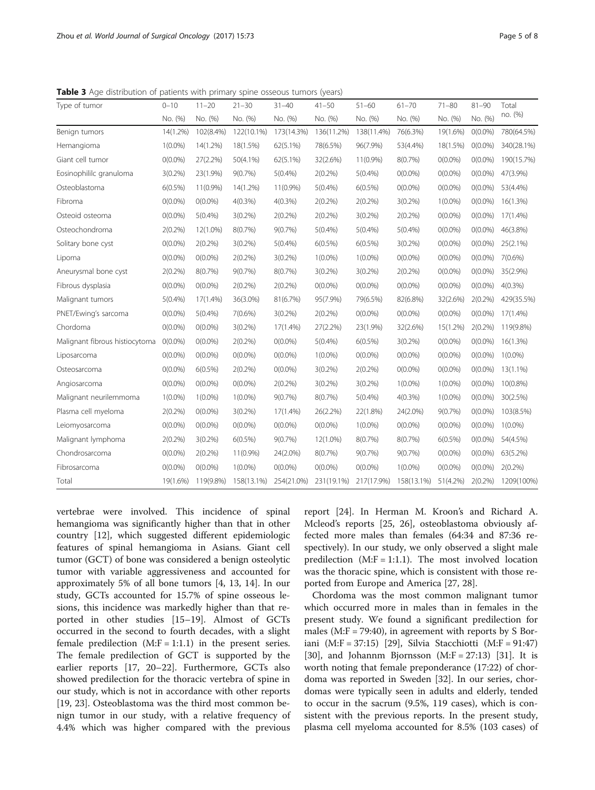<span id="page-4-0"></span>Table 3 Age distribution of patients with primary spine osseous tumors (years)

| Type of tumor                  | $0 - 10$   | $11 - 20$   | $21 - 30$   | $31 - 40$   | $41 - 50$  | $51 - 60$   | $61 - 70$  | $71 - 80$  | $81 - 90$  | Total       |
|--------------------------------|------------|-------------|-------------|-------------|------------|-------------|------------|------------|------------|-------------|
|                                | No. (%)    | No. (%)     | No. (%)     | No. (%)     | No. (%)    | No. (%)     | No. (%)    | No. (%)    | No. (%)    | no. (%)     |
| Benign tumors                  | 14(1.2%)   | 102(8.4%)   | 122(10.1%)  | 173(14.3%)  | 136(11.2%) | 138(11.4%)  | 76(6.3%)   | 19(1.6%)   | $O(0.0\%)$ | 780(64.5%)  |
| Hemangioma                     | $1(0.0\%)$ | 14(1.2%)    | 18(1.5%)    | $62(5.1\%)$ | 78(6.5%)   | 96(7.9%)    | 53(4.4%)   | 18(1.5%)   | $O(0.0\%)$ | 340(28.1%)  |
| Giant cell tumor               | $O(0.0\%)$ | 27(2.2%)    | $50(4.1\%)$ | 62(5.1%)    | 32(2.6%)   | $11(0.9\%)$ | 8(0.7%     | $O(0.0\%)$ | $O(0.0\%)$ | 190(15.7%)  |
| Eosinophililc granuloma        | $3(0.2\%)$ | 23(1.9%)    | 9(0.7%      | $5(0.4\%)$  | $2(0.2\%)$ | $5(0.4\%)$  | $O(0.0\%)$ | $O(0.0\%)$ | $O(0.0\%)$ | 47(3.9%)    |
| Osteoblastoma                  | 6(0.5%)    | 11(0.9%     | 14(1.2%)    | $11(0.9\%)$ | 5(0.4% )   | $6(0.5\%)$  | $O(0.0\%)$ | $O(0.0\%)$ | $O(0.0\%)$ | 53(4.4%)    |
| Fibroma                        | $O(0.0\%)$ | $O(0.0\%)$  | $4(0.3\%)$  | $4(0.3\%)$  | $2(0.2\%)$ | $2(0.2\%)$  | $3(0.2\%)$ | $1(0.0\%)$ | $O(0.0\%)$ | 16(1.3%)    |
| Osteoid osteoma                | $O(0.0\%)$ | $5(0.4\%)$  | $3(0.2\%)$  | $2(0.2\%)$  | $2(0.2\%)$ | $3(0.2\%)$  | $2(0.2\%)$ | $O(0.0\%)$ | $O(0.0\%)$ | 17(1.4%)    |
| Osteochondroma                 | $2(0.2\%)$ | 12(1.0%)    | 8(0.7%)     | $9(0.7\%)$  | 5(0.4% )   | $5(0.4\%)$  | 5(0.4% )   | $O(0.0\%)$ | $0(0.0\%)$ | 46(3.8%)    |
| Solitary bone cyst             | $O(0.0\%)$ | $2(0.2\%)$  | $3(0.2\%)$  | $5(0.4\%)$  | $6(0.5\%)$ | $6(0.5\%)$  | $3(0.2\%)$ | $O(0.0\%)$ | $O(0.0\%)$ | 25(2.1%)    |
| Lipoma                         | $O(0.0\%)$ | $O(0.0\%)$  | $2(0.2\%)$  | $3(0.2\%)$  | $1(0.0\%)$ | $1(0.0\%)$  | $O(0.0\%)$ | $O(0.0\%)$ | $O(0.0\%)$ | $7(0.6\%)$  |
| Aneurysmal bone cyst           | $2(0.2\%)$ | 8(0.7%      | 9(0.7%      | 8(0.7%)     | $3(0.2\%)$ | $3(0.2\%)$  | $2(0.2\%)$ | $O(0.0\%)$ | $O(0.0\%)$ | 35(2.9%)    |
| Fibrous dysplasia              | $O(0.0\%)$ | $O(0.0\%)$  | $2(0.2\%)$  | $2(0.2\%)$  | $O(0.0\%)$ | $O(0.0\%)$  | $O(0.0\%)$ | $O(0.0\%)$ | $O(0.0\%)$ | $4(0.3\%)$  |
| Malignant tumors               | $5(0.4\%)$ | $17(1.4\%)$ | 36(3.0%)    | 81(6.7%)    | 95(7.9%)   | 79(6.5%)    | 82(6.8%)   | 32(2.6%)   | $2(0.2\%)$ | 429(35.5%)  |
| PNET/Ewing's sarcoma           | $O(0.0\%)$ | 5(0.4% )    | 7(0.6%      | $3(0.2\%)$  | $2(0.2\%)$ | $O(0.0\%)$  | $O(0.0\%)$ | $O(0.0\%)$ | $0(0.0\%)$ | $17(1.4\%)$ |
| Chordoma                       | $O(0.0\%)$ | $O(0.0\%)$  | $3(0.2\%)$  | 17(1.4%)    | 27(2.2%)   | 23(1.9%)    | 32(2.6%)   | 15(1.2%)   | $2(0.2\%)$ | 119(9.8%)   |
| Malignant fibrous histiocytoma | $O(0.0\%)$ | $O(0.0\%)$  | $2(0.2\%)$  | $O(0.0\%)$  | 5(0.4% )   | $6(0.5\%)$  | $3(0.2\%)$ | $O(0.0\%)$ | $O(0.0\%)$ | 16(1.3%)    |
| Liposarcoma                    | $O(0.0\%)$ | $O(0.0\%)$  | $O(0.0\%)$  | $O(0.0\%)$  | $1(0.0\%)$ | $O(0.0\%)$  | $O(0.0\%)$ | $O(0.0\%)$ | $0(0.0\%)$ | $1(0.0\%)$  |
| Osteosarcoma                   | $O(0.0\%)$ | $6(0.5\%)$  | $2(0.2\%)$  | $O(0.0\%)$  | $3(0.2\%)$ | $2(0.2\%)$  | $O(0.0\%)$ | $O(0.0\%)$ | $O(0.0\%)$ | $13(1.1\%)$ |
| Angiosarcoma                   | $O(0.0\%)$ | $O(0.0\%)$  | $O(0.0\%)$  | $2(0.2\%)$  | $3(0.2\%)$ | $3(0.2\%)$  | $1(0.0\%)$ | $1(0.0\%)$ | $0(0.0\%)$ | $10(0.8\%)$ |
| Malignant neurilemmoma         | $1(0.0\%)$ | $1(0.0\%)$  | $1(0.0\%)$  | $9(0.7\%)$  | 8(0.7%     | 5(0.4%      | $4(0.3\%)$ | $1(0.0\%)$ | $O(0.0\%)$ | 30(2.5%)    |
| Plasma cell myeloma            | $2(0.2\%)$ | $O(0.0\%)$  | $3(0.2\%)$  | 17(1.4%)    | 26(2.2%)   | 22(1.8%)    | 24(2.0%)   | $9(0.7\%)$ | $O(0.0\%)$ | 103(8.5%)   |
| Leiomyosarcoma                 | $O(0.0\%)$ | $O(0.0\%)$  | $O(0.0\%)$  | $O(0.0\%)$  | $O(0.0\%)$ | $1(0.0\%)$  | $O(0.0\%)$ | $O(0.0\%)$ | $O(0.0\%)$ | $1(0.0\%)$  |
| Malignant lymphoma             | $2(0.2\%)$ | $3(0.2\%)$  | 6(0.5%)     | $9(0.7\%)$  | 12(1.0%)   | 8(0.7%)     | 8(0.7%)    | 6(0.5%)    | $O(0.0\%)$ | 54(4.5%)    |
| Chondrosarcoma                 | $O(0.0\%)$ | $2(0.2\%)$  | $11(0.9\%)$ | 24(2.0%)    | 8(0.7%)    | $9(0.7\%)$  | 9(0.7%     | $O(0.0\%)$ | $O(0.0\%)$ | 63(5.2%)    |
| Fibrosarcoma                   | $O(0.0\%)$ | $O(0.0\%)$  | $1(0.0\%)$  | $O(0.0\%)$  | $O(0.0\%)$ | $O(0.0\%)$  | $1(0.0\%)$ | $O(0.0\%)$ | $O(0.0\%)$ | $2(0.2\%)$  |
| Total                          | 19(1.6%)   | 119(9.8%)   | 158(13.1%)  | 254(21.0%)  | 231(19.1%) | 217(17.9%)  | 158(13.1%) | 51(4.2%)   | $2(0.2\%)$ | 1209(100%)  |

vertebrae were involved. This incidence of spinal hemangioma was significantly higher than that in other country [\[12\]](#page-7-0), which suggested different epidemiologic features of spinal hemangioma in Asians. Giant cell tumor (GCT) of bone was considered a benign osteolytic tumor with variable aggressiveness and accounted for approximately 5% of all bone tumors [[4, 13](#page-7-0), [14\]](#page-7-0). In our study, GCTs accounted for 15.7% of spine osseous lesions, this incidence was markedly higher than that reported in other studies [\[15](#page-7-0)–[19\]](#page-7-0). Almost of GCTs occurred in the second to fourth decades, with a slight female predilection  $(M:F = 1:1.1)$  in the present series. The female predilection of GCT is supported by the earlier reports [[17, 20](#page-7-0)–[22\]](#page-7-0). Furthermore, GCTs also showed predilection for the thoracic vertebra of spine in our study, which is not in accordance with other reports [[19, 23\]](#page-7-0). Osteoblastoma was the third most common benign tumor in our study, with a relative frequency of 4.4% which was higher compared with the previous report [\[24](#page-7-0)]. In Herman M. Kroon's and Richard A. Mcleod's reports [\[25](#page-7-0), [26](#page-7-0)], osteoblastoma obviously affected more males than females (64:34 and 87:36 respectively). In our study, we only observed a slight male predilection  $(M:F = 1:1.1)$ . The most involved location was the thoracic spine, which is consistent with those reported from Europe and America [\[27, 28\]](#page-7-0).

Chordoma was the most common malignant tumor which occurred more in males than in females in the present study. We found a significant predilection for males (M: $F = 79:40$ ), in agreement with reports by S Boriani (M:F = 37:15) [[29\]](#page-7-0), Silvia Stacchiotti (M:F = 91:47) [[30\]](#page-7-0), and Johannm Bjornsson  $(M:F = 27:13)$  [[31\]](#page-7-0). It is worth noting that female preponderance (17:22) of chordoma was reported in Sweden [[32\]](#page-7-0). In our series, chordomas were typically seen in adults and elderly, tended to occur in the sacrum (9.5%, 119 cases), which is consistent with the previous reports. In the present study, plasma cell myeloma accounted for 8.5% (103 cases) of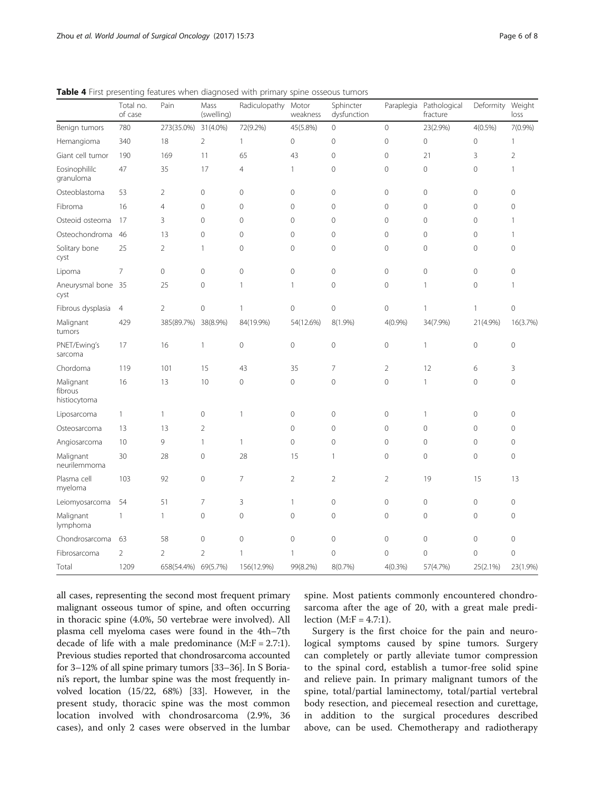|                                      | Total no.<br>of case | Pain                | Mass<br>(swelling) | Radiculopathy  | Motor<br>weakness | Sphincter<br>dysfunction |                | Paraplegia Pathological<br>fracture | Deformity      | Weight<br>loss |
|--------------------------------------|----------------------|---------------------|--------------------|----------------|-------------------|--------------------------|----------------|-------------------------------------|----------------|----------------|
| Benign tumors                        | 780                  | 273(35.0%)          | 31(4.0%)           | 72(9.2%)       | 45(5.8%)          | $\overline{0}$           | $\mathbf 0$    | 23(2.9%)                            | $4(0.5\%)$     | 7(0.9%)        |
| Hemangioma                           | 340                  | 18                  | $\overline{2}$     | $\mathbf{1}$   | $\mathbf 0$       | $\mathbf 0$              | $\mathbf 0$    | $\mathbf 0$                         | $\mathbf 0$    | $\overline{1}$ |
| Giant cell tumor                     | 190                  | 169                 | 11                 | 65             | 43                | 0                        | $\mathbf{0}$   | 21                                  | 3              | $\overline{2}$ |
| Eosinophililc<br>granuloma           | 47                   | 35                  | 17                 | $\overline{4}$ | 1                 | 0                        | $\mathbf 0$    | 0                                   | 0              | $\mathbf{1}$   |
| Osteoblastoma                        | 53                   | $\overline{2}$      | 0                  | 0              | $\mathbf 0$       | 0                        | $\mathbf 0$    | $\mathbf 0$                         | $\mathbf 0$    | $\mathbf 0$    |
| Fibroma                              | 16                   | $\overline{4}$      | 0                  | 0              | $\overline{0}$    | 0                        | $\mathbf{0}$   | $\mathbf 0$                         | $\mathbf 0$    | $\mathbf 0$    |
| Osteoid osteoma                      | 17                   | 3                   | 0                  | 0              | $\overline{0}$    | 0                        | $\mathbf 0$    | $\mathbf 0$                         | 0              | 1              |
| Osteochondroma                       | 46                   | 13                  | 0                  | 0              | $\overline{0}$    | 0                        | $\mathbf{0}$   | $\mathbf 0$                         | $\mathbf 0$    | 1              |
| Solitary bone<br>cyst                | 25                   | $\overline{2}$      | 1                  | 0              | $\mathbf 0$       | 0                        | $\mathbf 0$    | 0                                   | 0              | $\mathbf 0$    |
| Lipoma                               | $\overline{7}$       | $\mathbf 0$         | 0                  | 0              | $\mathbf 0$       | $\mathbf 0$              | $\mathbf 0$    | $\mathbf 0$                         | 0              | $\mathbf 0$    |
| Aneurysmal bone 35<br>cyst           |                      | 25                  | 0                  | 1              | 1                 | 0                        | $\mathbf 0$    | $\mathbf{1}$                        | $\mathbf 0$    | 1              |
| Fibrous dysplasia                    | $\overline{4}$       | $\overline{2}$      | 0                  | 1              | $\mathbf 0$       | 0                        | $\mathbf 0$    | $\mathbf{1}$                        | 1              | $\mathbf 0$    |
| Malignant<br>tumors                  | 429                  | 385(89.7%)          | 38(8.9%)           | 84(19.9%)      | 54(12.6%)         | 8(1.9%)                  | $4(0.9\%)$     | 34(7.9%)                            | 21(4.9%)       | 16(3.7%)       |
| PNET/Ewing's<br>sarcoma              | 17                   | 16                  | $\mathbf{1}$       | $\mathbf 0$    | $\mathbf 0$       | $\mathbf 0$              | $\mathbf 0$    | $\mathbf{1}$                        | $\overline{0}$ | $\mathbf 0$    |
| Chordoma                             | 119                  | 101                 | 15                 | 43             | 35                | 7                        | $\overline{2}$ | 12                                  | 6              | 3              |
| Malignant<br>fibrous<br>histiocytoma | 16                   | 13                  | 10                 | $\overline{0}$ | $\overline{0}$    | $\overline{0}$           | $\overline{0}$ | $\mathbf{1}$                        | 0              | $\overline{0}$ |
| Liposarcoma                          | $\mathbf{1}$         | $\mathbf{1}$        | 0                  | 1              | $\mathbf 0$       | 0                        | $\mathbf 0$    | $\mathbf{1}$                        | 0              | $\mathbf 0$    |
| Osteosarcoma                         | 13                   | 13                  | $\overline{2}$     |                | $\mathbf 0$       | 0                        | $\mathbf 0$    | $\mathbf 0$                         | 0              | $\mathbf 0$    |
| Angiosarcoma                         | 10                   | 9                   | $\mathbf{1}$       | 1              | $\mathbf 0$       | 0                        | $\mathbf 0$    | $\mathbf 0$                         | 0              | $\mathbf 0$    |
| Malignant<br>neurilemmoma            | 30                   | 28                  | $\mathbf 0$        | 28             | 15                | 1                        | $\mathbf 0$    | $\mathbf 0$                         | $\mathbf 0$    | $\mathbf{0}$   |
| Plasma cell<br>myeloma               | 103                  | 92                  | 0                  | 7              | $\overline{2}$    | $\overline{2}$           | $\overline{2}$ | 19                                  | 15             | 13             |
| Leiomyosarcoma                       | 54                   | 51                  | 7                  | 3              | $\mathbf{1}$      | $\mathbf 0$              | $\mathbf 0$    | 0                                   | 0              | $\mathbf 0$    |
| Malignant<br>lymphoma                | $\mathbf{1}$         | $\mathbf{1}$        | 0                  | $\mathbf 0$    | $\mathbf 0$       | $\mathbf 0$              | $\mathbf 0$    | $\mathbf 0$                         | $\mathbf 0$    | $\mathbf 0$    |
| Chondrosarcoma                       | 63                   | 58                  | $\overline{0}$     | $\mathbf 0$    | $\mathbf 0$       | 0                        | $\mathbf{0}$   | $\overline{0}$                      | 0              | $\mathbf 0$    |
| Fibrosarcoma                         | $\overline{2}$       | $\overline{2}$      | $\overline{2}$     | 1              | $\mathbf{1}$      | $\overline{O}$           | $\overline{0}$ | $\mathbf 0$                         | $\mathbf 0$    | $\mathbf 0$    |
| Total                                | 1209                 | 658(54.4%) 69(5.7%) |                    | 156(12.9%)     | 99(8.2%)          | 8(0.7%)                  | $4(0.3\%)$     | 57(4.7%)                            | 25(2.1%)       | 23(1.9%)       |

<span id="page-5-0"></span>Table 4 First presenting features when diagnosed with primary spine osseous tumors

all cases, representing the second most frequent primary malignant osseous tumor of spine, and often occurring in thoracic spine (4.0%, 50 vertebrae were involved). All plasma cell myeloma cases were found in the 4th–7th decade of life with a male predominance  $(M:F = 2.7:1)$ . Previous studies reported that chondrosarcoma accounted for 3–12% of all spine primary tumors [\[33](#page-7-0)–[36\]](#page-7-0). In S Boriani's report, the lumbar spine was the most frequently involved location (15/22, 68%) [[33](#page-7-0)]. However, in the present study, thoracic spine was the most common location involved with chondrosarcoma (2.9%, 36 cases), and only 2 cases were observed in the lumbar

spine. Most patients commonly encountered chondrosarcoma after the age of 20, with a great male predilection  $(M:F = 4.7:1)$ .

Surgery is the first choice for the pain and neurological symptoms caused by spine tumors. Surgery can completely or partly alleviate tumor compression to the spinal cord, establish a tumor-free solid spine and relieve pain. In primary malignant tumors of the spine, total/partial laminectomy, total/partial vertebral body resection, and piecemeal resection and curettage, in addition to the surgical procedures described above, can be used. Chemotherapy and radiotherapy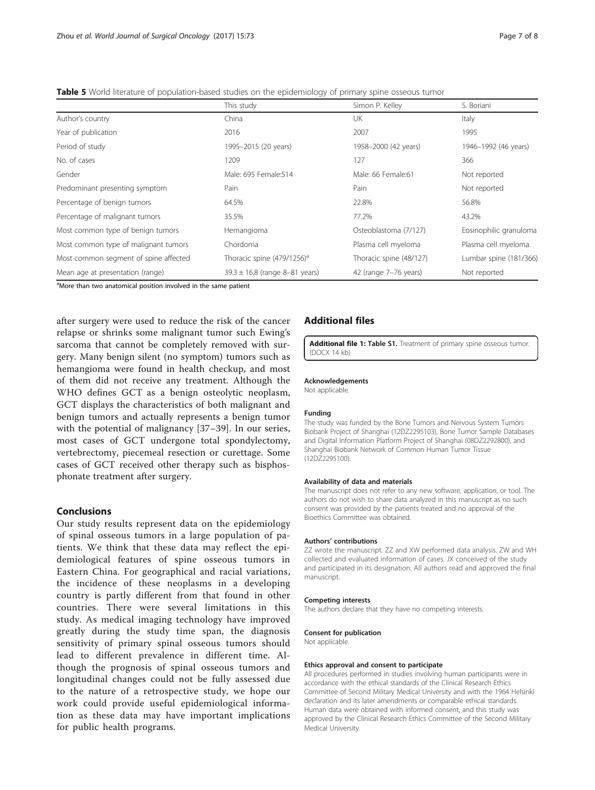|                                       | This study                             | Simon P. Kelley         | S. Boriani             |
|---------------------------------------|----------------------------------------|-------------------------|------------------------|
| Author's country                      | China                                  | <b>UK</b>               | Italy                  |
| Year of publication                   | 2016                                   | 2007                    | 1995                   |
| Period of study                       | 1995-2015 (20 years)                   | 1958-2000 (42 years)    | 1946-1992 (46 years)   |
| No. of cases                          | 1209                                   | 127                     | 366                    |
| Gender                                | Male: 695 Female:514                   | Male: 66 Female:61      | Not reported           |
| Predominant presenting symptom        | Pain                                   | Pain                    | Not reported           |
| Percentage of benign tumors           | 64.5%                                  | 22.8%                   | 56.8%                  |
| Percentage of malignant tumors        | 35.5%                                  | 77.2%                   | 43.2%                  |
| Most common type of benign tumors     | Hemangioma                             | Osteoblastoma (7/127)   | Eosinophilic granuloma |
| Most common type of malignant tumors  | Chordoma                               | Plasma cell myeloma     | Plasma cell myeloma    |
| Most common segment of spine affected | Thoracic spine (479/1256) <sup>a</sup> | Thoracic spine (48/127) | Lumbar spine (181/366) |
| Mean age at presentation (range)      | $39.3 \pm 16.8$ (range 8-81 years)     | 42 (range 7-76 years)   | Not reported           |

<span id="page-6-0"></span>Table 5 World literature of population-based studies on the epidemiology of primary spine osseous tumor

<sup>a</sup>More than two anatomical position involved in the same patient

after surgery were used to reduce the risk of the cancer relapse or shrinks some malignant tumor such Ewing's sarcoma that cannot be completely removed with surgery. Many benign silent (no symptom) tumors such as hemangioma were found in health checkup, and most of them did not receive any treatment. Although the WHO defines GCT as a benign osteolytic neoplasm, GCT displays the characteristics of both malignant and benign tumors and actually represents a benign tumor with the potential of malignancy [\[37](#page-7-0)–[39](#page-7-0)]. In our series, most cases of GCT undergone total spondylectomy, vertebrectomy, piecemeal resection or curettage. Some cases of GCT received other therapy such as bisphosphonate treatment after surgery.

# Conclusions

Our study results represent data on the epidemiology of spinal osseous tumors in a large population of patients. We think that these data may reflect the epidemiological features of spine osseous tumors in Eastern China. For geographical and racial variations, the incidence of these neoplasms in a developing country is partly different from that found in other countries. There were several limitations in this study. As medical imaging technology have improved greatly during the study time span, the diagnosis sensitivity of primary spinal osseous tumors should lead to different prevalence in different time. Although the prognosis of spinal osseous tumors and longitudinal changes could not be fully assessed due to the nature of a retrospective study, we hope our work could provide useful epidemiological information as these data may have important implications for public health programs.

# Additional files

[Additional file 1:](dx.doi.org/10.1186/s12957-017-1136-1) Table S1. Treatment of primary spine osseous tumor. (DOCX 14 kb)

## Acknowledgements

Not applicable.

#### Funding

The study was funded by the Bone Tumors and Nervous System Tumors Biobank Project of Shanghai (12DZ2295103), Bone Tumor Sample Databases and Digital Information Platform Project of Shanghai (08DZ2292800), and Shanghai Biobank Network of Common Human Tumor Tissue (12DZ2295100).

#### Availability of data and materials

The manuscript does not refer to any new software, application, or tool. The authors do not wish to share data analyzed in this manuscript as no such consent was provided by the patients treated and no approval of the Bioethics Committee was obtained.

#### Authors' contributions

ZZ wrote the manuscript. ZZ and XW performed data analysis. ZW and WH collected and evaluated information of cases. JX conceived of the study and participated in its designation. All authors read and approved the final manuscript.

#### Competing interests

The authors declare that they have no competing interests.

#### Consent for publication

Not applicable.

#### Ethics approval and consent to participate

All procedures performed in studies involving human participants were in accordance with the ethical standards of the Clinical Research Ethics Committee of Second Military Medical University and with the 1964 Helsinki declaration and its later amendments or comparable ethical standards. Human data were obtained with informed consent, and this study was approved by the Clinical Research Ethics Committee of the Second Military Medical University.